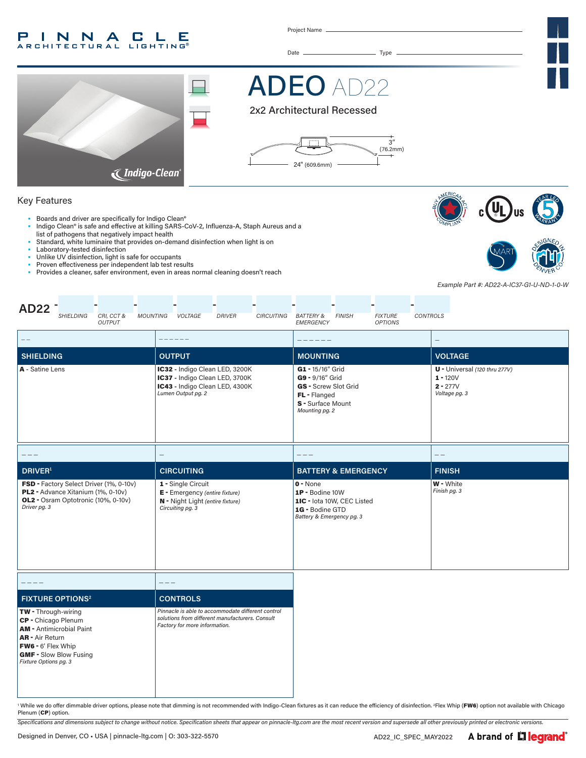#### INNA P. **CLE ARCHITECTURAL LIGHTING®**

Project Name

Date Type



# ADEO AD22





#### Key Features

- Boards and driver are specifically for Indigo Clean®
- Indigo Clean® is safe and effective at killing SARS-CoV-2, Influenza-A, Staph Aureus and a list of pathogens that negatively impact health
- Standard, white luminaire that provides on-demand disinfection when light is on
- Laboratory-tested disinfection
- Unlike UV disinfection, light is safe for occupants
- Proven effectiveness per independent lab test results<br>• Provides a cleaner, safer environment, even in areas n
- Provides a cleaner, safer environment, even in areas normal cleaning doesn't reach





*Example Part #: AD22-A-IC37-G1-U-ND-1-0-W*

| <b>AD22</b><br><b>SHIELDING</b><br>CRI, CCT &<br><b>MOUNTING</b><br><b>OUTPUT</b>                                                                                                              | <b>VOLTAGE</b><br><b>DRIVER</b><br><b>CIRCUITING</b>                                                                                  | <b>BATTERY &amp;</b><br><b>FINISH</b><br><b>FIXTURE</b><br>CONTROLS<br>EMERGENCY<br><b>OPTIONS</b>                 |                                                                            |  |
|------------------------------------------------------------------------------------------------------------------------------------------------------------------------------------------------|---------------------------------------------------------------------------------------------------------------------------------------|--------------------------------------------------------------------------------------------------------------------|----------------------------------------------------------------------------|--|
| $-\ -$                                                                                                                                                                                         |                                                                                                                                       |                                                                                                                    |                                                                            |  |
| <b>SHIELDING</b>                                                                                                                                                                               | <b>OUTPUT</b>                                                                                                                         | <b>MOUNTING</b>                                                                                                    | <b>VOLTAGE</b>                                                             |  |
| A - Satine Lens                                                                                                                                                                                | IC32 - Indigo Clean LED, 3200K<br>IC37 - Indigo Clean LED, 3700K<br>IC43 - Indigo Clean LED, 4300K<br>Lumen Output pg. 2              | G1 - 15/16" Grid<br>G9 - 9/16" Grid<br>GS - Screw Slot Grid<br>FL - Flanged<br>S - Surface Mount<br>Mounting pg. 2 | U - Universal (120 thru 277V)<br>$1 - 120V$<br>$2 - 277V$<br>Voltage pg. 3 |  |
|                                                                                                                                                                                                | $\overline{\phantom{m}}$                                                                                                              |                                                                                                                    | $- -$                                                                      |  |
| <b>DRIVER</b> <sup>1</sup>                                                                                                                                                                     | <b>CIRCUITING</b>                                                                                                                     | <b>BATTERY &amp; EMERGENCY</b>                                                                                     | <b>FINISH</b>                                                              |  |
| FSD - Factory Select Driver (1%, 0-10v)<br>PL2 - Advance Xitanium (1%, 0-10v)<br>OL2 - Osram Optotronic (10%, 0-10v)<br>Driver pg. 3                                                           | 1 - Single Circuit<br>E - Emergency (entire fixture)<br>N - Night Light (entire fixture)<br>Circuiting pg. 3                          | $0 - None$<br>1P - Bodine 10W<br>1IC - lota 10W, CEC Listed<br>1G - Bodine GTD<br>Battery & Emergency pg. 3        | W - White<br>Finish pg. 3                                                  |  |
| ----                                                                                                                                                                                           | $---$                                                                                                                                 |                                                                                                                    |                                                                            |  |
| <b>FIXTURE OPTIONS<sup>2</sup></b>                                                                                                                                                             | <b>CONTROLS</b>                                                                                                                       |                                                                                                                    |                                                                            |  |
| <b>TW</b> - Through-wiring<br>CP - Chicago Plenum<br><b>AM</b> - Antimicrobial Paint<br><b>AR</b> - Air Return<br>FW6 - 6' Flex Whip<br><b>GMF - Slow Blow Fusing</b><br>Fixture Options pg. 3 | Pinnacle is able to accommodate different control<br>solutions from different manufacturers. Consult<br>Factory for more information. |                                                                                                                    |                                                                            |  |

' While we do offer dimmable driver options, please note that dimming is not recommended with Indigo-Clean fixtures as it can reduce the efficiency of disinfection. 2Flex Whip (FW6) option not available with Chicago Plenum (CP) option.

*Specifications and dimensions subject to change without notice. Specification sheets that appear on pinnacle-ltg.com are the most recent version and supersede all other previously printed or electronic versions.*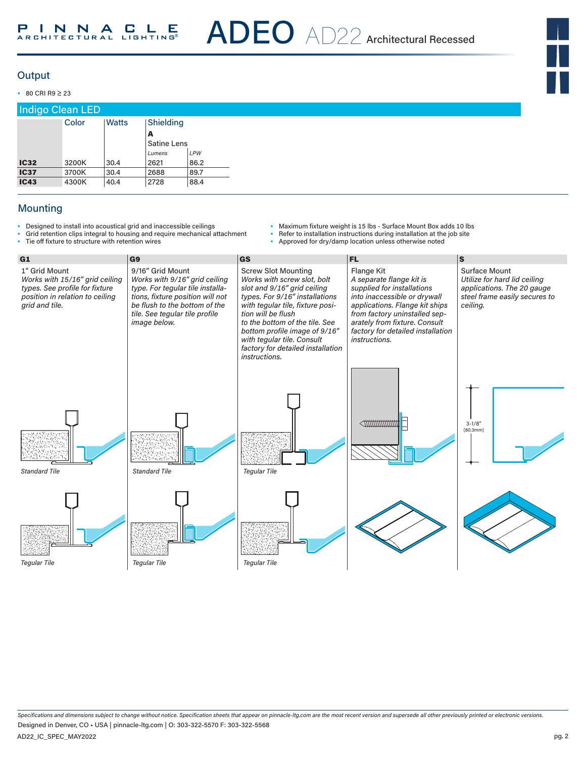#### **Output**

• 80 CRI R9 ≥ 23

| <b>Indigo Clean LED</b> |       |       |                         |      |  |  |  |  |
|-------------------------|-------|-------|-------------------------|------|--|--|--|--|
|                         | Color | Watts | Shielding               |      |  |  |  |  |
|                         |       |       | A<br><b>Satine Lens</b> |      |  |  |  |  |
|                         |       |       | Lumens                  | LPW  |  |  |  |  |
| <b>IC32</b>             | 3200K | 30.4  | 2621                    | 86.2 |  |  |  |  |
| <b>IC37</b>             | 3700K | 30.4  | 2688                    | 89.7 |  |  |  |  |
| <b>IC43</b>             | 4300K | 40.4  | 2728                    | 88.4 |  |  |  |  |

### Mounting

• Designed to install into acoustical grid and inaccessible ceilings

• Tie off fixture to structure with retention wires

Grid retention clips integral to housing and require mechanical attachment

- Maximum fixture weight is 15 lbs Surface Mount Box adds 10 lbs
- Refer to installation instructions during installation at the job site
	- Approved for dry/damp location unless otherwise noted



*Specifications and dimensions subject to change without notice. Specification sheets that appear on pinnacle-ltg.com are the most recent version and supersede all other previously printed or electronic versions.* AD22\_IC\_SPEC\_MAY2022 Designed in Denver, CO • USA | pinnacle-ltg.com | O: 303-322-5570 F: 303-322-5568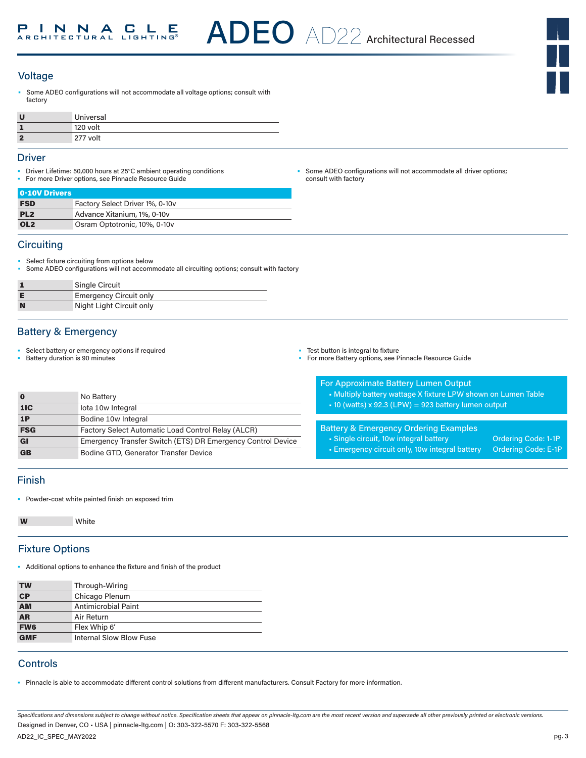# **Voltage**

Some ADEO configurations will not accommodate all voltage options; consult with factory

| U  | Universal |
|----|-----------|
|    | 120 volt  |
| ۰, | 277 volt  |

#### Driver

- Driver Lifetime: 50,000 hours at 25°C ambient operating conditions
- For more Driver options, see Pinnacle Resource Guide

| 0-10V Drivers   |                                 |
|-----------------|---------------------------------|
| <b>FSD</b>      | Factory Select Driver 1%, 0-10y |
| PL <sub>2</sub> | Advance Xitanium, 1%, 0-10y     |
| OL <sub>2</sub> | Osram Optotronic, 10%, 0-10y    |

#### **Circuiting**

- Select fixture circuiting from options below
- Some ADEO configurations will not accommodate all circuiting options; consult with factory

|   | <b>Single Circuit</b>         |
|---|-------------------------------|
|   | <b>Emergency Circuit only</b> |
| N | Night Light Circuit only      |

### Battery & Emergency

• Select battery or emergency options if required

• Battery duration is 90 minutes

Some ADEO configurations will not accommodate all driver options; consult with factory

• Test button is integral to fixture

• For more Battery options, see Pinnacle Resource Guide

| <b>For Approximate Battery Lumen Output</b> |  |
|---------------------------------------------|--|
|                                             |  |
|                                             |  |

- Multiply battery wattage X fixture LPW shown on Lumen Table
- 10 (watts) x 92.3 (LPW) = 923 battery lumen output

Battery & Emergency Ordering Examples

• Emergency circuit only, 10w integral battery Ordering Code: E-1P

• Single circuit, 10w integral battery **Ordering Code: 1-1P** 

**0** No Battery 1IC lota 10w Integral 1P Bodine 10w Integral **FSG** Factory Select Automatic Load Control Relay (ALCR) GI Emergency Transfer Switch (ETS) DR Emergency Control Device GB Bodine GTD, Generator Transfer Device

#### Finish

• Powder-coat white painted finish on exposed trim

White

# Fixture Options

• Additional options to enhance the fixture and finish of the product

| <b>TW</b>      | Through-Wiring          |
|----------------|-------------------------|
| C <sub>P</sub> | Chicago Plenum          |
| <b>AM</b>      | Antimicrobial Paint     |
| <b>AR</b>      | Air Return              |
| <b>FW6</b>     | Flex Whip 6'            |
| <b>GMF</b>     | Internal Slow Blow Fuse |

# **Controls**

• Pinnacle is able to accommodate different control solutions from different manufacturers. Consult Factory for more information.

*Specifications and dimensions subject to change without notice. Specification sheets that appear on pinnacle-ltg.com are the most recent version and supersede all other previously printed or electronic versions.* Designed in Denver, CO • USA | pinnacle-ltg.com | O: 303-322-5570 F: 303-322-5568